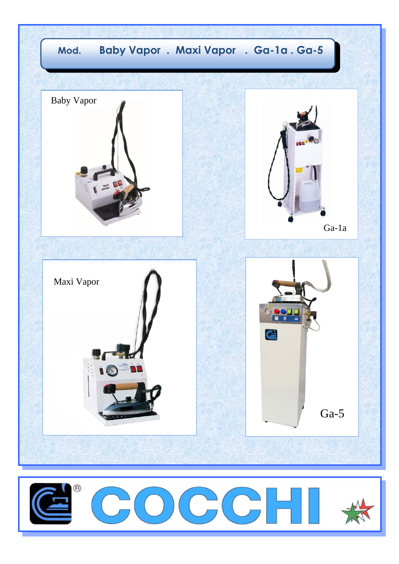